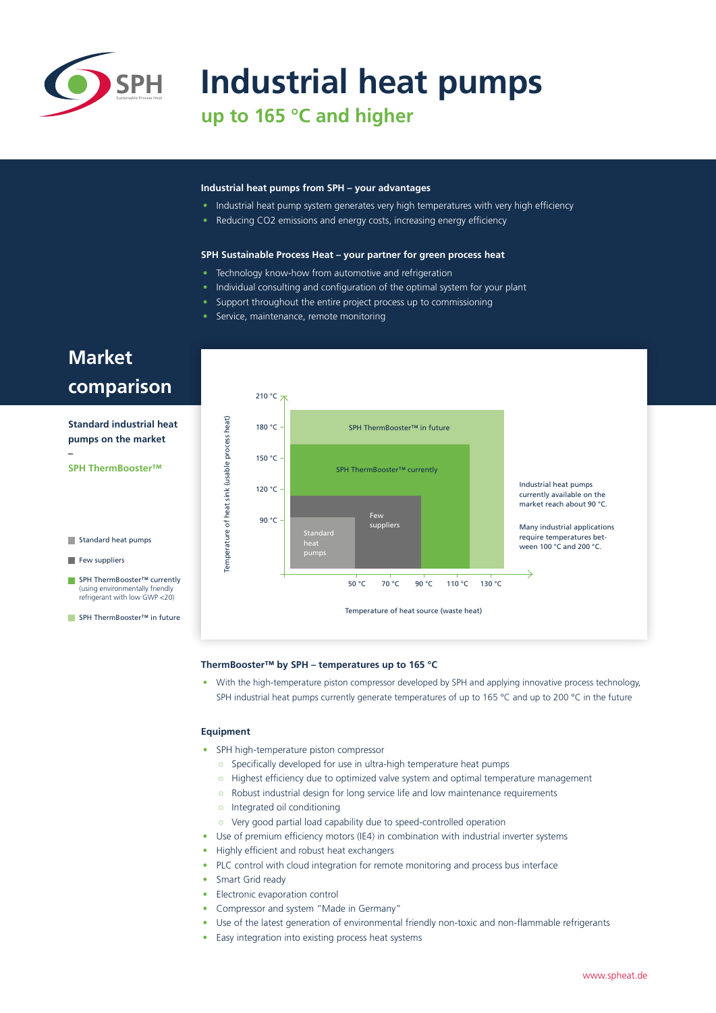

# **SPH** Industrial heat pumps

**up to 165 °C and higher**

#### **Industrial heat pumps from SPH – your advantages**

- Industrial heat pump system generates very high temperatures with very high efficiency
- Reducing CO2 emissions and energy costs, increasing energy efficiency

#### **SPH Sustainable Process Heat – your partner for green process heat**

- Technology know-how from automotive and refrigeration
- Individual consulting and configuration of the optimal system for your plant
- Support throughout the entire project process up to commissioning
- Service, maintenance, remote monitoring

## **Market comparison**

**Standard industrial heat pumps on the market –**

**SPH ThermBooster™** 

Standard heat pumps

 $\blacksquare$  Few suppliers

■ SPH ThermBooster™ currently (using environmentally friendly refrigerant with low GWP <20)

■ SPH ThermBooster™ in future



#### **ThermBooster™ by SPH – temperatures up to 165 °C**

• With the high-temperature piston compressor developed by SPH and applying innovative process technology. SPH industrial heat pumps currently generate temperatures of up to 165 °C and up to 200 °C in the future

#### **Equipment**

- SPH high-temperature piston compressor
	- Specifically developed for use in ultra-high temperature heat pumps
	- Highest efficiency due to optimized valve system and optimal temperature management
	- Robust industrial design for long service life and low maintenance requirements
	- Integrated oil conditioning
	- Very good partial load capability due to speed-controlled operation
- Use of premium efficiency motors (IE4) in combination with industrial inverter systems
- Highly efficient and robust heat exchangers
- PLC control with cloud integration for remote monitoring and process bus interface
- Smart Grid ready
- Electronic evaporation control
- Compressor and system "Made in Germany"
- Use of the latest generation of environmental friendly non-toxic and non-flammable refrigerants
- Easy integration into existing process heat systems